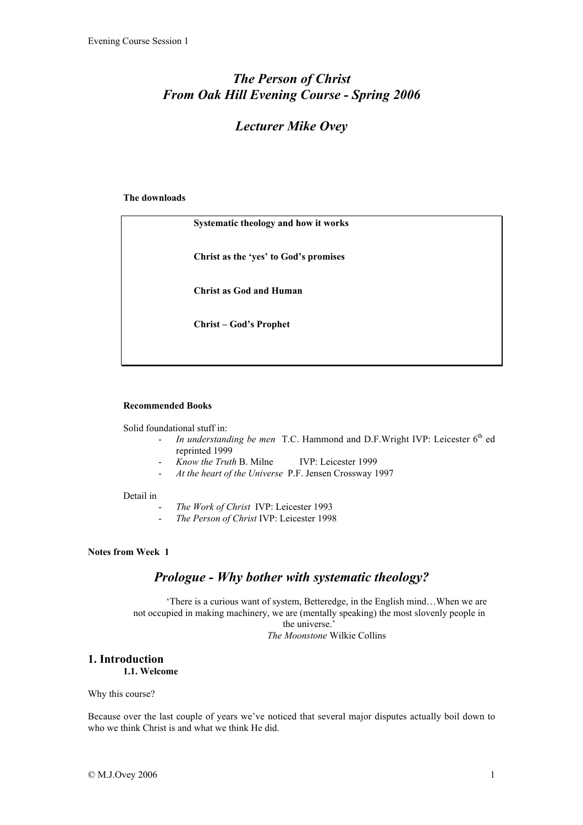# *The Person of Christ From Oak Hill Evening Course - Spring 2006*

# *Lecturer Mike Ovey*

#### The downloads

| Systematic theology and how it works  |
|---------------------------------------|
| Christ as the 'yes' to God's promises |
| <b>Christ as God and Human</b>        |
| <b>Christ – God's Prophet</b>         |
|                                       |

#### Recommended Books

Solid foundational stuff in:

- <sup>-</sup> *In understanding be men* T.C. Hammond and D.F.Wright IVP: Leicester 6<sup>th</sup> ed reprinted 1999
- *Know the Truth* B. Milne IVP: Leicester 1999
- *At the heart of the Universe* P.F. Jensen Crossway 1997

#### Detail in

- *The Work of Christ* IVP: Leicester 1993
- *The Person of Christ* IVP: Leicester 1998

## Notes from Week 1

## *Prologue - Why bother with systematic theology?*

'There is a curious want of system, Betteredge, in the English mind…When we are not occupied in making machinery, we are (mentally speaking) the most slovenly people in the universe.' *The Moonstone* Wilkie Collins

## 1. Introduction

1.1. Welcome

Why this course?

Because over the last couple of years we've noticed that several major disputes actually boil down to who we think Christ is and what we think He did.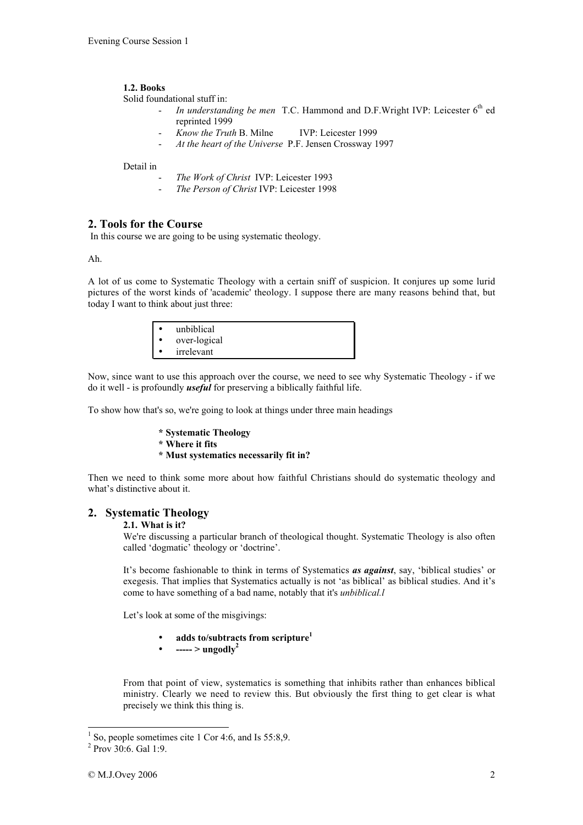### 1.2. Books

Solid foundational stuff in:

- *In understanding be men* T.C. Hammond and D.F.Wright IVP: Leicester 6<sup>th</sup> ed reprinted 1999
- *Know the Truth* B. Milne IVP: Leicester 1999
- *At the heart of the Universe* P.F. Jensen Crossway 1997

#### Detail in

- *The Work of Christ* IVP: Leicester 1993
- *The Person of Christ* IVP: Leicester 1998

## 2. Tools for the Course

In this course we are going to be using systematic theology.

Ah.

A lot of us come to Systematic Theology with a certain sniff of suspicion. It conjures up some lurid pictures of the worst kinds of 'academic' theology. I suppose there are many reasons behind that, but today I want to think about just three:

| unbiblical   |
|--------------|
| over-logical |
| irrelevant   |

Now, since want to use this approach over the course, we need to see why Systematic Theology - if we do it well - is profoundly *useful* for preserving a biblically faithful life.

To show how that's so, we're going to look at things under three main headings

- \* Systematic Theology
- \* Where it fits
- \* Must systematics necessarily fit in?

Then we need to think some more about how faithful Christians should do systematic theology and what's distinctive about it.

## 2. Systematic Theology

#### 2.1. What is it?

We're discussing a particular branch of theological thought. Systematic Theology is also often called 'dogmatic' theology or 'doctrine'.

It's become fashionable to think in terms of Systematics *as against*, say, 'biblical studies' or exegesis. That implies that Systematics actually is not 'as biblical' as biblical studies. And it's come to have something of a bad name, notably that it's *unbiblical.l*

Let's look at some of the misgivings:

- adds to/subtracts from scripture $<sup>1</sup>$ </sup>
- ----- > ungodly<sup>2</sup>

From that point of view, systematics is something that inhibits rather than enhances biblical ministry. Clearly we need to review this. But obviously the first thing to get clear is what precisely we think this thing is.

 $\frac{1}{1}$  So, people sometimes cite 1 Cor 4:6, and Is 55:8,9.

<sup>&</sup>lt;sup>2</sup> Prov 30:6. Gal 1:9.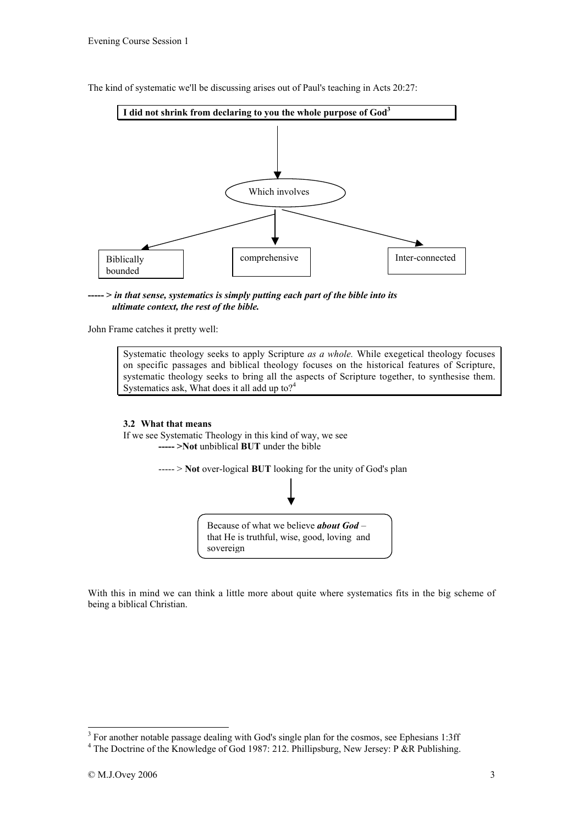



----- > *in that sense, systematics is simply putting each part of the bible into its ultimate context, the rest of the bible.*

John Frame catches it pretty well:

Systematic theology seeks to apply Scripture *as a whole.* While exegetical theology focuses on specific passages and biblical theology focuses on the historical features of Scripture, systematic theology seeks to bring all the aspects of Scripture together, to synthesise them. Systematics ask, What does it all add up to  $2<sup>4</sup>$ 

#### 3.2 What that means

If we see Systematic Theology in this kind of way, we see ----- >Not unbiblical BUT under the bible

> ----- > Not over-logical BUT looking for the unity of God's plan Because of what we believe *about God* – that He is truthful, wise, good, loving and sovereign

With this in mind we can think a little more about quite where systematics fits in the big scheme of being a biblical Christian.

<sup>&</sup>lt;sup>3</sup> For another notable passage dealing with God's single plan for the cosmos, see Ephesians 1:3ff

<sup>&</sup>lt;sup>4</sup> The Doctrine of the Knowledge of God 1987: 212. Phillipsburg, New Jersey: P &R Publishing.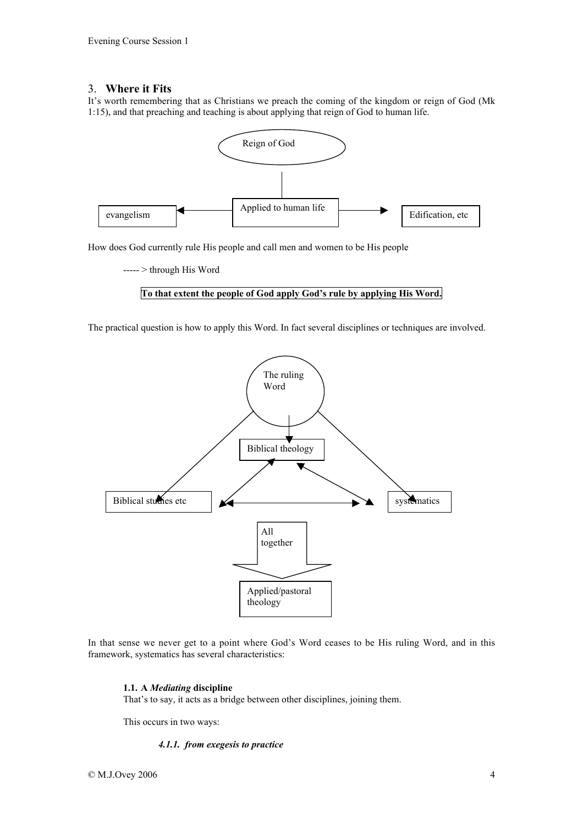## 3. Where it Fits

It's worth remembering that as Christians we preach the coming of the kingdom or reign of God (Mk 1:15), and that preaching and teaching is about applying that reign of God to human life.



How does God currently rule His people and call men and women to be His people

----- > through His Word

#### To that extent the people of God apply God's rule by applying His Word.

The practical question is how to apply this Word. In fact several disciplines or techniques are involved.



In that sense we never get to a point where God's Word ceases to be His ruling Word, and in this framework, systematics has several characteristics:

#### 1.1. A *Mediating* discipline

That's to say, it acts as a bridge between other disciplines, joining them.

This occurs in two ways:

#### *4.1.1. from exegesis to practice*

© M.J.Ovey 2006 4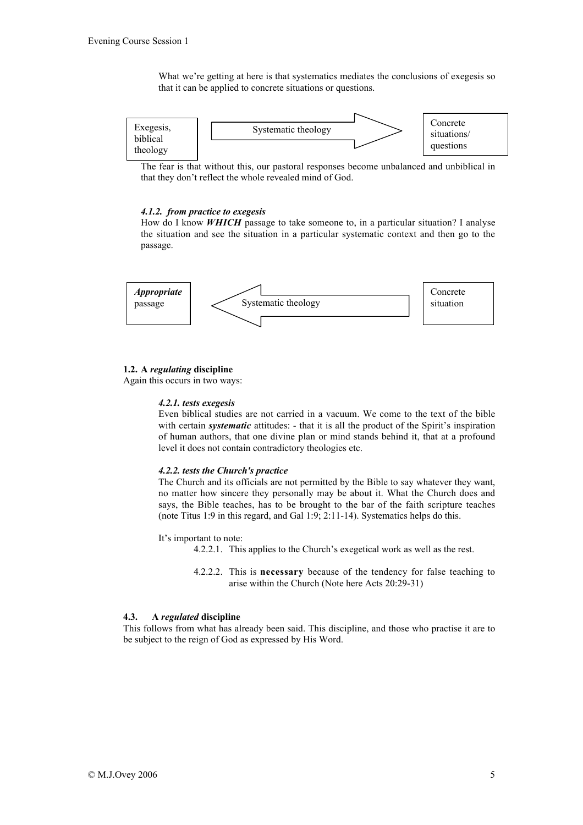What we're getting at here is that systematics mediates the conclusions of exegesis so that it can be applied to concrete situations or questions.



The fear is that without this, our pastoral responses become unbalanced and unbiblical in that they don't reflect the whole revealed mind of God.

#### *4.1.2. from practice to exegesis*

How do I know *WHICH* passage to take someone to, in a particular situation? I analyse the situation and see the situation in a particular systematic context and then go to the passage.



#### 1.2. A *regulating* discipline

Again this occurs in two ways:

#### *4.2.1. tests exegesis*

Even biblical studies are not carried in a vacuum. We come to the text of the bible with certain *systematic* attitudes: - that it is all the product of the Spirit's inspiration of human authors, that one divine plan or mind stands behind it, that at a profound level it does not contain contradictory theologies etc.

#### *4.2.2. tests the Church's practice*

The Church and its officials are not permitted by the Bible to say whatever they want, no matter how sincere they personally may be about it. What the Church does and says, the Bible teaches, has to be brought to the bar of the faith scripture teaches (note Titus 1:9 in this regard, and Gal 1:9; 2:11-14). Systematics helps do this.

It's important to note:

- 4.2.2.1. This applies to the Church's exegetical work as well as the rest.
- 4.2.2.2. This is necessary because of the tendency for false teaching to arise within the Church (Note here Acts 20:29-31)

#### 4.3. A *regulated* discipline

This follows from what has already been said. This discipline, and those who practise it are to be subject to the reign of God as expressed by His Word.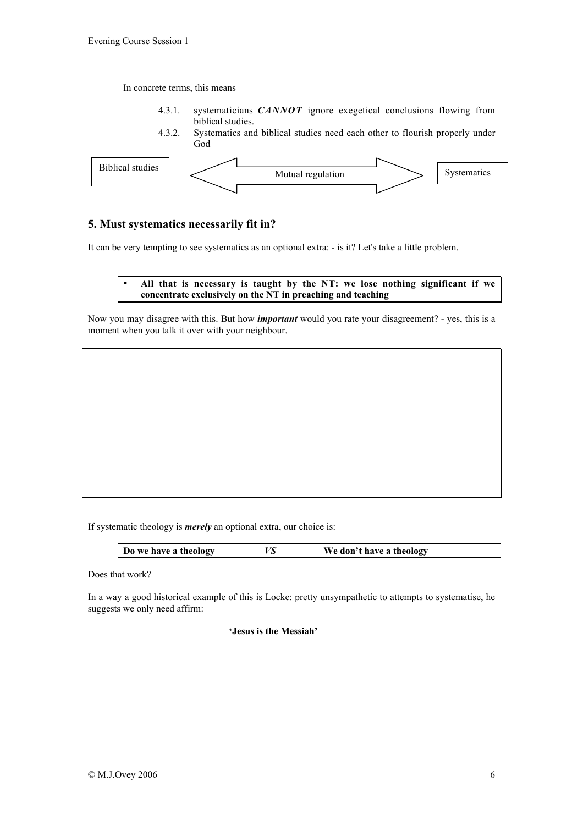In concrete terms, this means

- 4.3.1. systematicians *CANNOT* ignore exegetical conclusions flowing from biblical studies.
- 4.3.2. Systematics and biblical studies need each other to flourish properly under God



## 5. Must systematics necessarily fit in?

It can be very tempting to see systematics as an optional extra: - is it? Let's take a little problem.

## • All that is necessary is taught by the NT: we lose nothing significant if we concentrate exclusively on the NT in preaching and teaching

Now you may disagree with this. But how *important* would you rate your disagreement? - yes, this is a moment when you talk it over with your neighbour.

If systematic theology is *merely* an optional extra, our choice is:

| Do we have a theology<br>VS<br>We don't have a theology |
|---------------------------------------------------------|
|---------------------------------------------------------|

Does that work?

In a way a good historical example of this is Locke: pretty unsympathetic to attempts to systematise, he suggests we only need affirm:

'Jesus is the Messiah'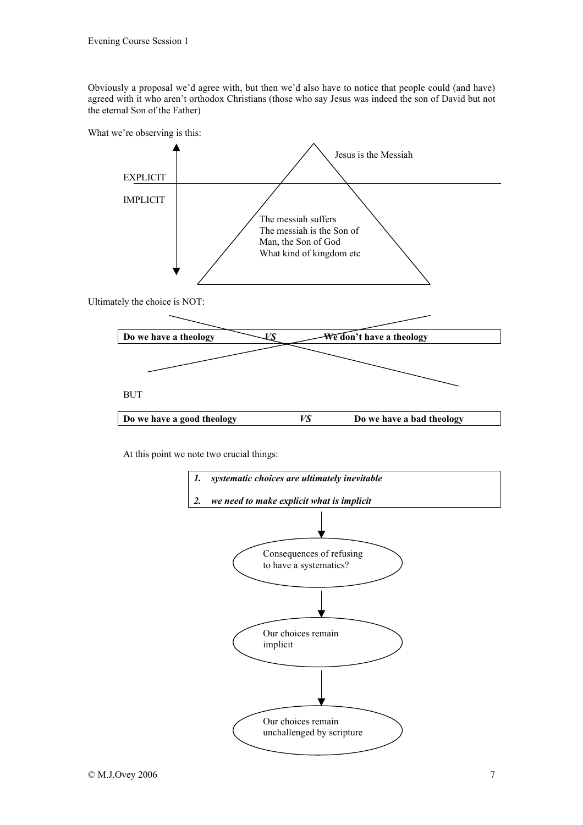Obviously a proposal we'd agree with, but then we'd also have to notice that people could (and have) agreed with it who aren't orthodox Christians (those who say Jesus was indeed the son of David but not the eternal Son of the Father)



At this point we note two crucial things: